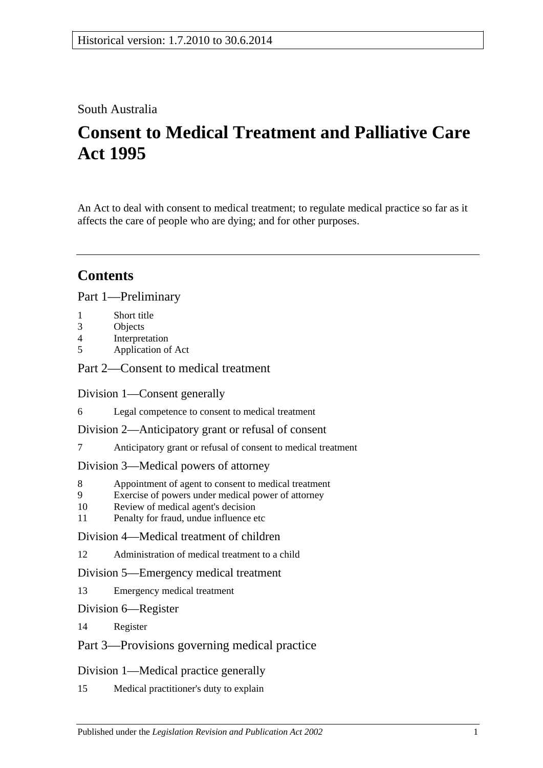## South Australia

# **Consent to Medical Treatment and Palliative Care Act 1995**

An Act to deal with consent to medical treatment; to regulate medical practice so far as it affects the care of people who are dying; and for other purposes.

## **Contents**

[Part 1—Preliminary](#page-1-0)

- 1 [Short title](#page-1-1)
- 3 [Objects](#page-1-2)
- 4 [Interpretation](#page-1-3)
- 5 [Application of Act](#page-3-0)

[Part 2—Consent to medical treatment](#page-3-1)

[Division 1—Consent generally](#page-3-2)

6 [Legal competence to consent to medical treatment](#page-3-3)

[Division 2—Anticipatory grant or refusal of consent](#page-3-4)

7 [Anticipatory grant or refusal of consent to medical treatment](#page-3-5)

[Division 3—Medical powers of attorney](#page-4-0)

- 8 [Appointment of agent to consent to medical treatment](#page-4-1)<br>9 Exercise of nowers under medical nower of attorney
- [Exercise of powers under medical power of attorney](#page-5-0)
- 10 [Review of medical agent's decision](#page-5-1)
- 11 [Penalty for fraud, undue influence etc](#page-6-0)

[Division 4—Medical treatment of children](#page-7-0)

12 [Administration of medical treatment to a child](#page-7-1)

[Division 5—Emergency medical treatment](#page-7-2)

13 [Emergency medical treatment](#page-7-3)

[Division 6—Register](#page-8-0)

14 [Register](#page-8-1)

## [Part 3—Provisions governing medical practice](#page-8-2)

#### [Division 1—Medical practice generally](#page-8-3)

15 [Medical practitioner's duty to explain](#page-8-4)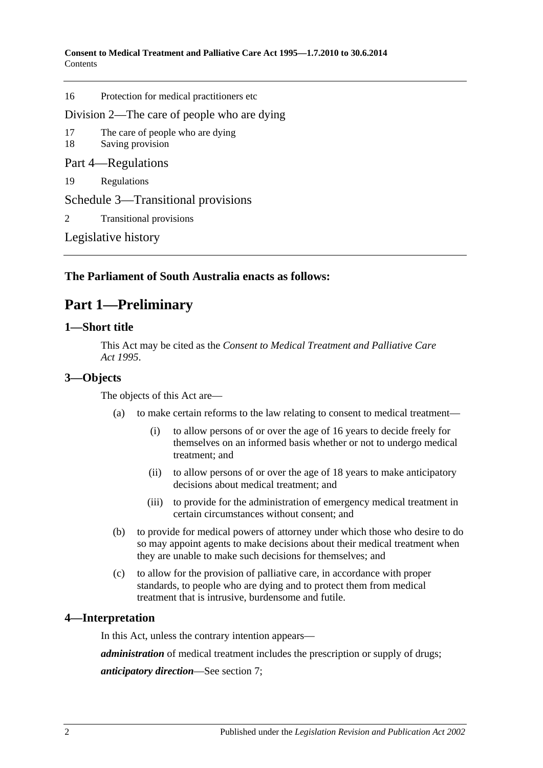**Consent to Medical Treatment and Palliative Care Act 1995—1.7.2010 to 30.6.2014 Contents** 

| 16                                          | Protection for medical practitioners etc.            |  |  |  |
|---------------------------------------------|------------------------------------------------------|--|--|--|
| Division 2—The care of people who are dying |                                                      |  |  |  |
| 17<br>18                                    | The care of people who are dying<br>Saving provision |  |  |  |
| Part 4—Regulations                          |                                                      |  |  |  |
| 19                                          | Regulations                                          |  |  |  |
| Schedule 3—Transitional provisions          |                                                      |  |  |  |
| 2                                           | <b>Transitional provisions</b>                       |  |  |  |
| Legislative history                         |                                                      |  |  |  |
|                                             |                                                      |  |  |  |

## <span id="page-1-0"></span>**The Parliament of South Australia enacts as follows:**

## **Part 1—Preliminary**

#### <span id="page-1-1"></span>**1—Short title**

This Act may be cited as the *Consent to Medical Treatment and Palliative Care Act 1995*.

#### <span id="page-1-2"></span>**3—Objects**

The objects of this Act are—

- (a) to make certain reforms to the law relating to consent to medical treatment—
	- (i) to allow persons of or over the age of 16 years to decide freely for themselves on an informed basis whether or not to undergo medical treatment; and
	- (ii) to allow persons of or over the age of 18 years to make anticipatory decisions about medical treatment; and
	- (iii) to provide for the administration of emergency medical treatment in certain circumstances without consent; and
- (b) to provide for medical powers of attorney under which those who desire to do so may appoint agents to make decisions about their medical treatment when they are unable to make such decisions for themselves; and
- (c) to allow for the provision of palliative care, in accordance with proper standards, to people who are dying and to protect them from medical treatment that is intrusive, burdensome and futile.

#### <span id="page-1-3"></span>**4—Interpretation**

In this Act, unless the contrary intention appears—

*administration* of medical treatment includes the prescription or supply of drugs;

*anticipatory direction*—See [section](#page-3-5) 7;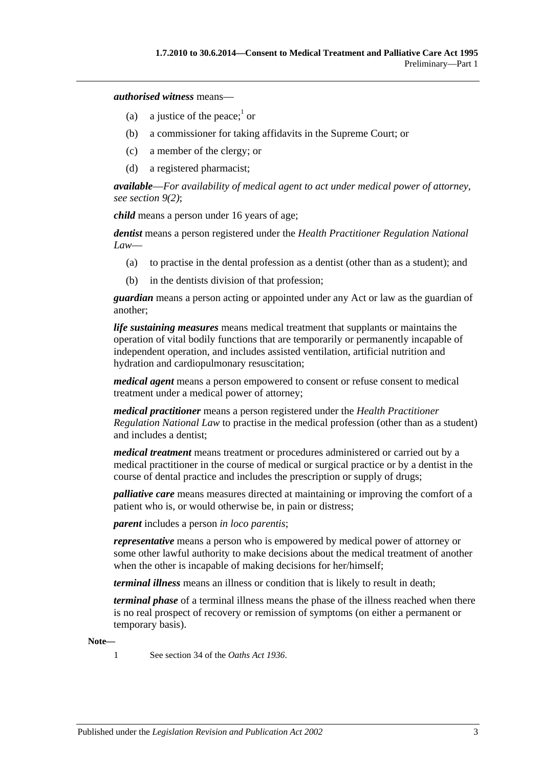#### *authorised witness* means—

- (a) a justice of the peace;  $\alpha$
- (b) a commissioner for taking affidavits in the Supreme Court; or
- (c) a member of the clergy; or
- (d) a registered pharmacist;

*available*—*For availability of medical agent to act under medical power of attorney, see [section](#page-5-2) 9(2)*;

*child* means a person under 16 years of age:

*dentist* means a person registered under the *Health Practitioner Regulation National Law*—

- (a) to practise in the dental profession as a dentist (other than as a student); and
- (b) in the dentists division of that profession;

*guardian* means a person acting or appointed under any Act or law as the guardian of another;

*life sustaining measures* means medical treatment that supplants or maintains the operation of vital bodily functions that are temporarily or permanently incapable of independent operation, and includes assisted ventilation, artificial nutrition and hydration and cardiopulmonary resuscitation;

*medical agent* means a person empowered to consent or refuse consent to medical treatment under a medical power of attorney;

*medical practitioner* means a person registered under the *Health Practitioner Regulation National Law* to practise in the medical profession (other than as a student) and includes a dentist;

*medical treatment* means treatment or procedures administered or carried out by a medical practitioner in the course of medical or surgical practice or by a dentist in the course of dental practice and includes the prescription or supply of drugs;

*palliative care* means measures directed at maintaining or improving the comfort of a patient who is, or would otherwise be, in pain or distress;

*parent* includes a person *in loco parentis*;

*representative* means a person who is empowered by medical power of attorney or some other lawful authority to make decisions about the medical treatment of another when the other is incapable of making decisions for her/himself;

*terminal illness* means an illness or condition that is likely to result in death;

*terminal phase* of a terminal illness means the phase of the illness reached when there is no real prospect of recovery or remission of symptoms (on either a permanent or temporary basis).

**Note—**

1 See section 34 of the *[Oaths Act](http://www.legislation.sa.gov.au/index.aspx?action=legref&type=act&legtitle=Oaths%20Act%201936) 1936*.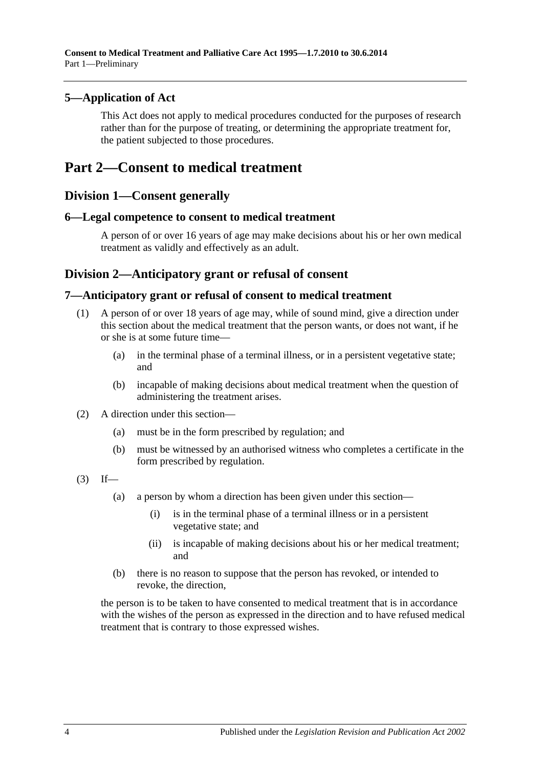### <span id="page-3-0"></span>**5—Application of Act**

This Act does not apply to medical procedures conducted for the purposes of research rather than for the purpose of treating, or determining the appropriate treatment for, the patient subjected to those procedures.

## <span id="page-3-1"></span>**Part 2—Consent to medical treatment**

## <span id="page-3-2"></span>**Division 1—Consent generally**

#### <span id="page-3-3"></span>**6—Legal competence to consent to medical treatment**

A person of or over 16 years of age may make decisions about his or her own medical treatment as validly and effectively as an adult.

## <span id="page-3-4"></span>**Division 2—Anticipatory grant or refusal of consent**

#### <span id="page-3-5"></span>**7—Anticipatory grant or refusal of consent to medical treatment**

- (1) A person of or over 18 years of age may, while of sound mind, give a direction under this section about the medical treatment that the person wants, or does not want, if he or she is at some future time—
	- (a) in the terminal phase of a terminal illness, or in a persistent vegetative state; and
	- (b) incapable of making decisions about medical treatment when the question of administering the treatment arises.
- (2) A direction under this section—
	- (a) must be in the form prescribed by regulation; and
	- (b) must be witnessed by an authorised witness who completes a certificate in the form prescribed by regulation.
- $(3)$  If—
	- (a) a person by whom a direction has been given under this section—
		- (i) is in the terminal phase of a terminal illness or in a persistent vegetative state; and
		- (ii) is incapable of making decisions about his or her medical treatment; and
	- (b) there is no reason to suppose that the person has revoked, or intended to revoke, the direction,

the person is to be taken to have consented to medical treatment that is in accordance with the wishes of the person as expressed in the direction and to have refused medical treatment that is contrary to those expressed wishes.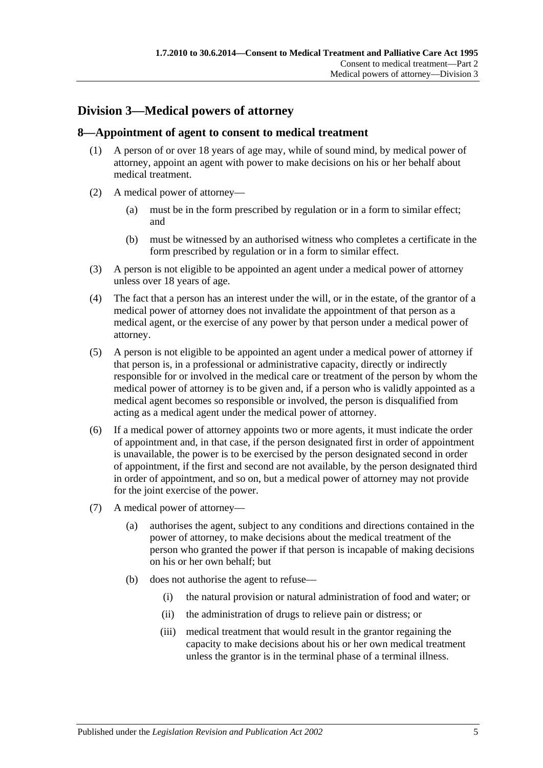## <span id="page-4-0"></span>**Division 3—Medical powers of attorney**

#### <span id="page-4-1"></span>**8—Appointment of agent to consent to medical treatment**

- (1) A person of or over 18 years of age may, while of sound mind, by medical power of attorney, appoint an agent with power to make decisions on his or her behalf about medical treatment.
- (2) A medical power of attorney—
	- (a) must be in the form prescribed by regulation or in a form to similar effect; and
	- (b) must be witnessed by an authorised witness who completes a certificate in the form prescribed by regulation or in a form to similar effect.
- (3) A person is not eligible to be appointed an agent under a medical power of attorney unless over 18 years of age.
- (4) The fact that a person has an interest under the will, or in the estate, of the grantor of a medical power of attorney does not invalidate the appointment of that person as a medical agent, or the exercise of any power by that person under a medical power of attorney.
- <span id="page-4-2"></span>(5) A person is not eligible to be appointed an agent under a medical power of attorney if that person is, in a professional or administrative capacity, directly or indirectly responsible for or involved in the medical care or treatment of the person by whom the medical power of attorney is to be given and, if a person who is validly appointed as a medical agent becomes so responsible or involved, the person is disqualified from acting as a medical agent under the medical power of attorney.
- (6) If a medical power of attorney appoints two or more agents, it must indicate the order of appointment and, in that case, if the person designated first in order of appointment is unavailable, the power is to be exercised by the person designated second in order of appointment, if the first and second are not available, by the person designated third in order of appointment, and so on, but a medical power of attorney may not provide for the joint exercise of the power.
- (7) A medical power of attorney—
	- (a) authorises the agent, subject to any conditions and directions contained in the power of attorney, to make decisions about the medical treatment of the person who granted the power if that person is incapable of making decisions on his or her own behalf; but
	- (b) does not authorise the agent to refuse—
		- (i) the natural provision or natural administration of food and water; or
		- (ii) the administration of drugs to relieve pain or distress; or
		- (iii) medical treatment that would result in the grantor regaining the capacity to make decisions about his or her own medical treatment unless the grantor is in the terminal phase of a terminal illness.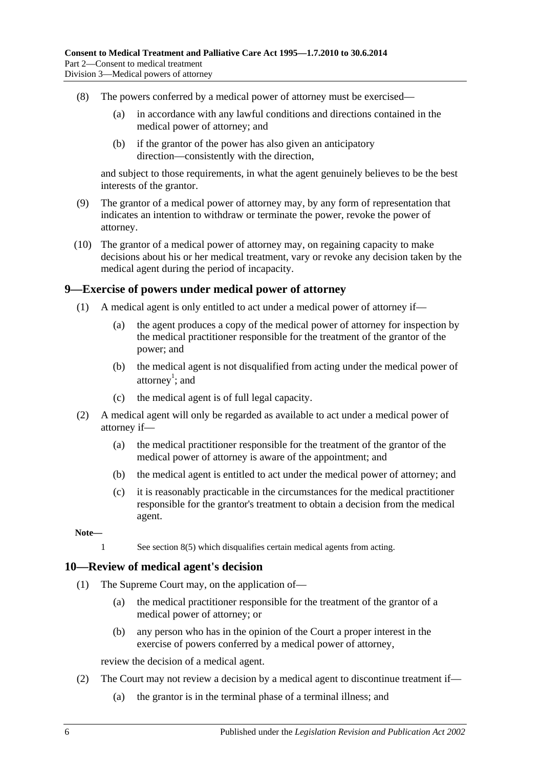- (8) The powers conferred by a medical power of attorney must be exercised—
	- (a) in accordance with any lawful conditions and directions contained in the medical power of attorney; and
	- (b) if the grantor of the power has also given an anticipatory direction—consistently with the direction,

and subject to those requirements, in what the agent genuinely believes to be the best interests of the grantor.

- (9) The grantor of a medical power of attorney may, by any form of representation that indicates an intention to withdraw or terminate the power, revoke the power of attorney.
- (10) The grantor of a medical power of attorney may, on regaining capacity to make decisions about his or her medical treatment, vary or revoke any decision taken by the medical agent during the period of incapacity.

#### <span id="page-5-0"></span>**9—Exercise of powers under medical power of attorney**

- (1) A medical agent is only entitled to act under a medical power of attorney if—
	- (a) the agent produces a copy of the medical power of attorney for inspection by the medical practitioner responsible for the treatment of the grantor of the power; and
	- (b) the medical agent is not disqualified from acting under the medical power of attorney<sup>1</sup>; and
	- (c) the medical agent is of full legal capacity.
- <span id="page-5-2"></span>(2) A medical agent will only be regarded as available to act under a medical power of attorney if—
	- (a) the medical practitioner responsible for the treatment of the grantor of the medical power of attorney is aware of the appointment; and
	- (b) the medical agent is entitled to act under the medical power of attorney; and
	- (c) it is reasonably practicable in the circumstances for the medical practitioner responsible for the grantor's treatment to obtain a decision from the medical agent.

**Note—**

1 See [section](#page-4-2) 8(5) which disqualifies certain medical agents from acting.

## <span id="page-5-1"></span>**10—Review of medical agent's decision**

- (1) The Supreme Court may, on the application of—
	- (a) the medical practitioner responsible for the treatment of the grantor of a medical power of attorney; or
	- (b) any person who has in the opinion of the Court a proper interest in the exercise of powers conferred by a medical power of attorney,

review the decision of a medical agent.

- (2) The Court may not review a decision by a medical agent to discontinue treatment if—
	- (a) the grantor is in the terminal phase of a terminal illness; and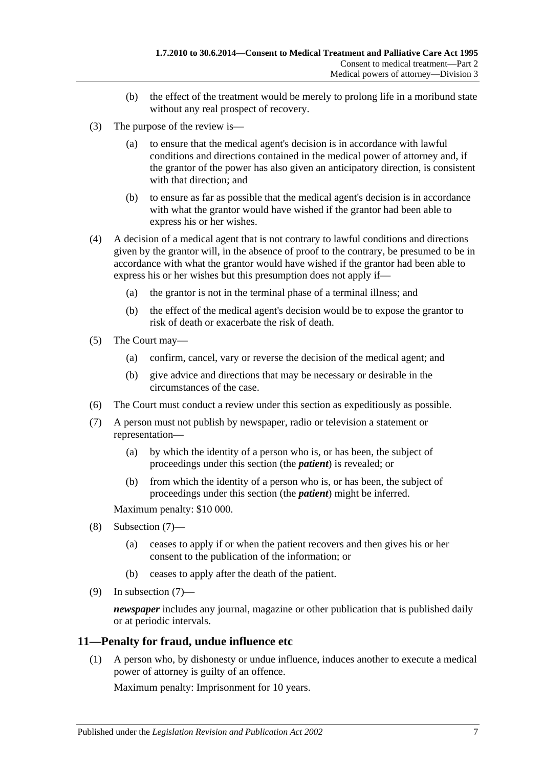- (b) the effect of the treatment would be merely to prolong life in a moribund state without any real prospect of recovery.
- (3) The purpose of the review is—
	- (a) to ensure that the medical agent's decision is in accordance with lawful conditions and directions contained in the medical power of attorney and, if the grantor of the power has also given an anticipatory direction, is consistent with that direction; and
	- (b) to ensure as far as possible that the medical agent's decision is in accordance with what the grantor would have wished if the grantor had been able to express his or her wishes.
- (4) A decision of a medical agent that is not contrary to lawful conditions and directions given by the grantor will, in the absence of proof to the contrary, be presumed to be in accordance with what the grantor would have wished if the grantor had been able to express his or her wishes but this presumption does not apply if—
	- (a) the grantor is not in the terminal phase of a terminal illness; and
	- (b) the effect of the medical agent's decision would be to expose the grantor to risk of death or exacerbate the risk of death.
- (5) The Court may—
	- (a) confirm, cancel, vary or reverse the decision of the medical agent; and
	- (b) give advice and directions that may be necessary or desirable in the circumstances of the case.
- (6) The Court must conduct a review under this section as expeditiously as possible.
- <span id="page-6-1"></span>(7) A person must not publish by newspaper, radio or television a statement or representation—
	- (a) by which the identity of a person who is, or has been, the subject of proceedings under this section (the *patient*) is revealed; or
	- (b) from which the identity of a person who is, or has been, the subject of proceedings under this section (the *patient*) might be inferred.

Maximum penalty: \$10 000.

- (8) [Subsection](#page-6-1) (7)—
	- (a) ceases to apply if or when the patient recovers and then gives his or her consent to the publication of the information; or
	- (b) ceases to apply after the death of the patient.
- (9) In [subsection](#page-6-1) (7)—

*newspaper* includes any journal, magazine or other publication that is published daily or at periodic intervals.

#### <span id="page-6-0"></span>**11—Penalty for fraud, undue influence etc**

(1) A person who, by dishonesty or undue influence, induces another to execute a medical power of attorney is guilty of an offence.

Maximum penalty: Imprisonment for 10 years.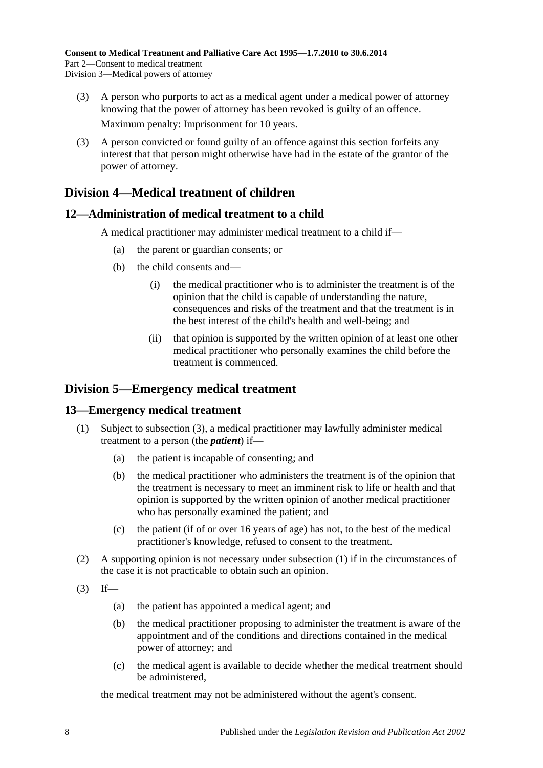(3) A person who purports to act as a medical agent under a medical power of attorney knowing that the power of attorney has been revoked is guilty of an offence.

Maximum penalty: Imprisonment for 10 years.

(3) A person convicted or found guilty of an offence against this section forfeits any interest that that person might otherwise have had in the estate of the grantor of the power of attorney.

## <span id="page-7-0"></span>**Division 4—Medical treatment of children**

#### <span id="page-7-1"></span>**12—Administration of medical treatment to a child**

A medical practitioner may administer medical treatment to a child if—

- (a) the parent or guardian consents; or
- (b) the child consents and—
	- (i) the medical practitioner who is to administer the treatment is of the opinion that the child is capable of understanding the nature, consequences and risks of the treatment and that the treatment is in the best interest of the child's health and well-being; and
	- (ii) that opinion is supported by the written opinion of at least one other medical practitioner who personally examines the child before the treatment is commenced.

## <span id="page-7-2"></span>**Division 5—Emergency medical treatment**

#### <span id="page-7-5"></span><span id="page-7-3"></span>**13—Emergency medical treatment**

- (1) Subject to [subsection](#page-7-4) (3), a medical practitioner may lawfully administer medical treatment to a person (the *patient*) if—
	- (a) the patient is incapable of consenting; and
	- (b) the medical practitioner who administers the treatment is of the opinion that the treatment is necessary to meet an imminent risk to life or health and that opinion is supported by the written opinion of another medical practitioner who has personally examined the patient; and
	- (c) the patient (if of or over 16 years of age) has not, to the best of the medical practitioner's knowledge, refused to consent to the treatment.
- (2) A supporting opinion is not necessary under [subsection](#page-7-5) (1) if in the circumstances of the case it is not practicable to obtain such an opinion.
- <span id="page-7-4"></span> $(3)$  If—
	- (a) the patient has appointed a medical agent; and
	- (b) the medical practitioner proposing to administer the treatment is aware of the appointment and of the conditions and directions contained in the medical power of attorney; and
	- (c) the medical agent is available to decide whether the medical treatment should be administered,

the medical treatment may not be administered without the agent's consent.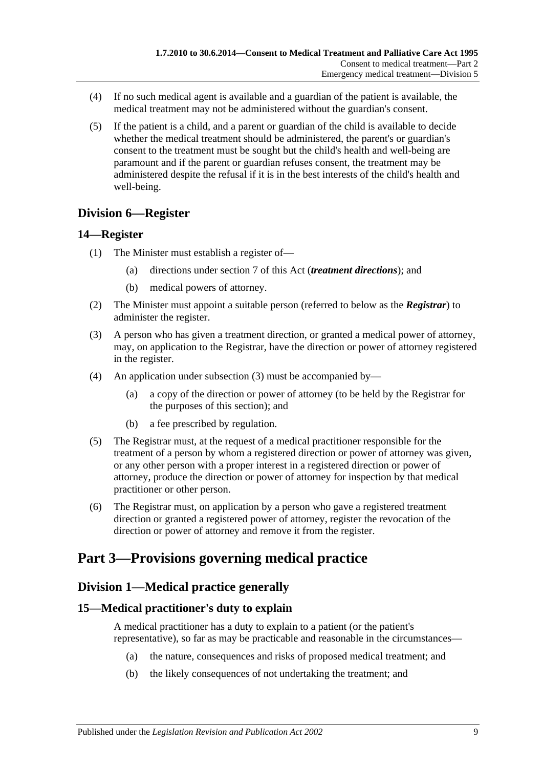- (4) If no such medical agent is available and a guardian of the patient is available, the medical treatment may not be administered without the guardian's consent.
- (5) If the patient is a child, and a parent or guardian of the child is available to decide whether the medical treatment should be administered, the parent's or guardian's consent to the treatment must be sought but the child's health and well-being are paramount and if the parent or guardian refuses consent, the treatment may be administered despite the refusal if it is in the best interests of the child's health and well-being.

## <span id="page-8-0"></span>**Division 6—Register**

#### <span id="page-8-1"></span>**14—Register**

- (1) The Minister must establish a register of—
	- (a) directions under [section](#page-3-5) 7 of this Act (*treatment directions*); and
	- (b) medical powers of attorney.
- (2) The Minister must appoint a suitable person (referred to below as the *Registrar*) to administer the register.
- <span id="page-8-5"></span>(3) A person who has given a treatment direction, or granted a medical power of attorney, may, on application to the Registrar, have the direction or power of attorney registered in the register.
- (4) An application under [subsection](#page-8-5) (3) must be accompanied by—
	- (a) a copy of the direction or power of attorney (to be held by the Registrar for the purposes of this section); and
	- (b) a fee prescribed by regulation.
- (5) The Registrar must, at the request of a medical practitioner responsible for the treatment of a person by whom a registered direction or power of attorney was given, or any other person with a proper interest in a registered direction or power of attorney, produce the direction or power of attorney for inspection by that medical practitioner or other person.
- (6) The Registrar must, on application by a person who gave a registered treatment direction or granted a registered power of attorney, register the revocation of the direction or power of attorney and remove it from the register.

## <span id="page-8-2"></span>**Part 3—Provisions governing medical practice**

## <span id="page-8-3"></span>**Division 1—Medical practice generally**

#### <span id="page-8-4"></span>**15—Medical practitioner's duty to explain**

A medical practitioner has a duty to explain to a patient (or the patient's representative), so far as may be practicable and reasonable in the circumstances—

- (a) the nature, consequences and risks of proposed medical treatment; and
- (b) the likely consequences of not undertaking the treatment; and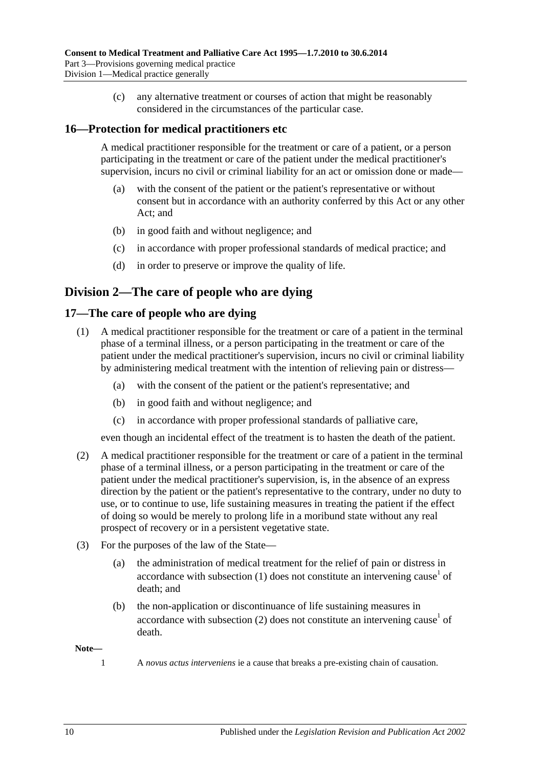(c) any alternative treatment or courses of action that might be reasonably considered in the circumstances of the particular case.

#### <span id="page-9-0"></span>**16—Protection for medical practitioners etc**

A medical practitioner responsible for the treatment or care of a patient, or a person participating in the treatment or care of the patient under the medical practitioner's supervision, incurs no civil or criminal liability for an act or omission done or made—

- (a) with the consent of the patient or the patient's representative or without consent but in accordance with an authority conferred by this Act or any other Act; and
- (b) in good faith and without negligence; and
- (c) in accordance with proper professional standards of medical practice; and
- (d) in order to preserve or improve the quality of life.

## <span id="page-9-1"></span>**Division 2—The care of people who are dying**

#### <span id="page-9-3"></span><span id="page-9-2"></span>**17—The care of people who are dying**

- (1) A medical practitioner responsible for the treatment or care of a patient in the terminal phase of a terminal illness, or a person participating in the treatment or care of the patient under the medical practitioner's supervision, incurs no civil or criminal liability by administering medical treatment with the intention of relieving pain or distress—
	- (a) with the consent of the patient or the patient's representative; and
	- (b) in good faith and without negligence; and
	- (c) in accordance with proper professional standards of palliative care,

even though an incidental effect of the treatment is to hasten the death of the patient.

- <span id="page-9-4"></span>(2) A medical practitioner responsible for the treatment or care of a patient in the terminal phase of a terminal illness, or a person participating in the treatment or care of the patient under the medical practitioner's supervision, is, in the absence of an express direction by the patient or the patient's representative to the contrary, under no duty to use, or to continue to use, life sustaining measures in treating the patient if the effect of doing so would be merely to prolong life in a moribund state without any real prospect of recovery or in a persistent vegetative state.
- (3) For the purposes of the law of the State—
	- (a) the administration of medical treatment for the relief of pain or distress in accordance with [subsection](#page-9-3) (1) does not constitute an intervening cause of death; and
	- (b) the non-application or discontinuance of life sustaining measures in accordance with [subsection](#page-9-4) (2) does not constitute an intervening cause<sup>1</sup> of death.

#### **Note—**

- - 1 A *novus actus interveniens* ie a cause that breaks a pre-existing chain of causation.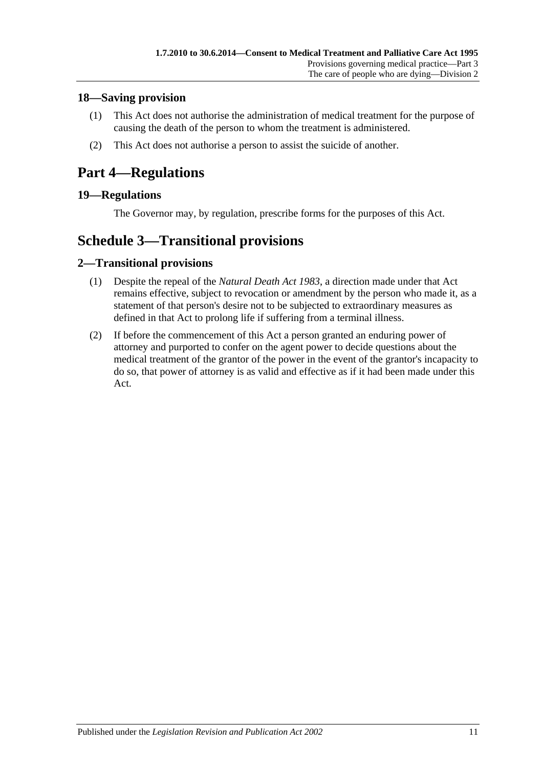### <span id="page-10-0"></span>**18—Saving provision**

- (1) This Act does not authorise the administration of medical treatment for the purpose of causing the death of the person to whom the treatment is administered.
- (2) This Act does not authorise a person to assist the suicide of another.

## <span id="page-10-1"></span>**Part 4—Regulations**

#### <span id="page-10-2"></span>**19—Regulations**

The Governor may, by regulation, prescribe forms for the purposes of this Act.

## <span id="page-10-3"></span>**Schedule 3—Transitional provisions**

#### <span id="page-10-4"></span>**2—Transitional provisions**

- (1) Despite the repeal of the *[Natural Death Act](http://www.legislation.sa.gov.au/index.aspx?action=legref&type=act&legtitle=Natural%20Death%20Act%201983) 1983*, a direction made under that Act remains effective, subject to revocation or amendment by the person who made it, as a statement of that person's desire not to be subjected to extraordinary measures as defined in that Act to prolong life if suffering from a terminal illness.
- (2) If before the commencement of this Act a person granted an enduring power of attorney and purported to confer on the agent power to decide questions about the medical treatment of the grantor of the power in the event of the grantor's incapacity to do so, that power of attorney is as valid and effective as if it had been made under this Act.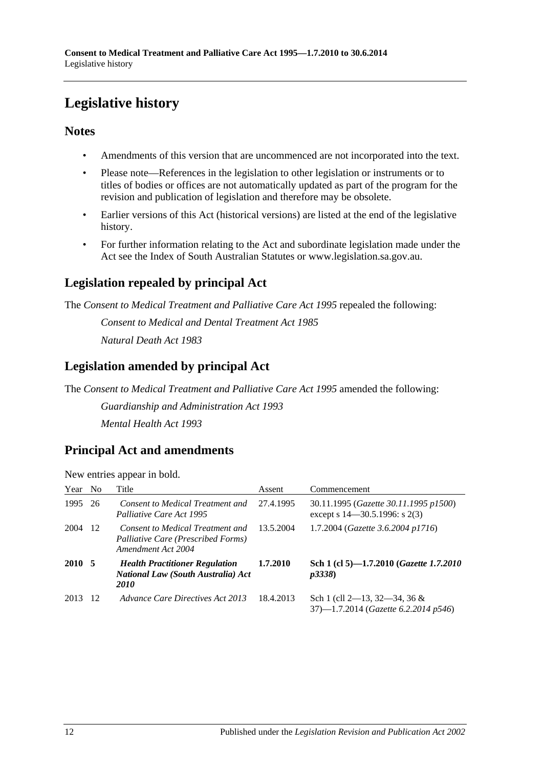## <span id="page-11-0"></span>**Legislative history**

## **Notes**

- Amendments of this version that are uncommenced are not incorporated into the text.
- Please note—References in the legislation to other legislation or instruments or to titles of bodies or offices are not automatically updated as part of the program for the revision and publication of legislation and therefore may be obsolete.
- Earlier versions of this Act (historical versions) are listed at the end of the legislative history.
- For further information relating to the Act and subordinate legislation made under the Act see the Index of South Australian Statutes or www.legislation.sa.gov.au.

## **Legislation repealed by principal Act**

The *Consent to Medical Treatment and Palliative Care Act 1995* repealed the following:

*Consent to Medical and Dental Treatment Act 1985 Natural Death Act 1983*

## **Legislation amended by principal Act**

The *Consent to Medical Treatment and Palliative Care Act 1995* amended the following: *Guardianship and Administration Act 1993 Mental Health Act 1993*

## **Principal Act and amendments**

New entries appear in bold.

| Year    | - No | Title                                                                                             | Assent    | Commencement                                                                |
|---------|------|---------------------------------------------------------------------------------------------------|-----------|-----------------------------------------------------------------------------|
| 1995 26 |      | Consent to Medical Treatment and<br>Palliative Care Act 1995                                      | 27.4.1995 | 30.11.1995 (Gazette 30.11.1995 p1500)<br>except s $14$ —30.5.1996: s $2(3)$ |
| 2004    | 12   | Consent to Medical Treatment and<br>Palliative Care (Prescribed Forms)<br>Amendment Act 2004      | 13.5.2004 | 1.7.2004 (Gazette 3.6.2004 p1716)                                           |
| 2010 5  |      | <b>Health Practitioner Regulation</b><br><b>National Law (South Australia) Act</b><br><i>2010</i> | 1.7.2010  | Sch 1 (cl 5)-1.7.2010 (Gazette 1.7.2010<br>p3338                            |
| 2013    | 12   | Advance Care Directives Act 2013                                                                  | 18.4.2013 | Sch 1 (cll 2-13, 32-34, 36 $\&$<br>37)—1.7.2014 (Gazette 6.2.2014 p546)     |